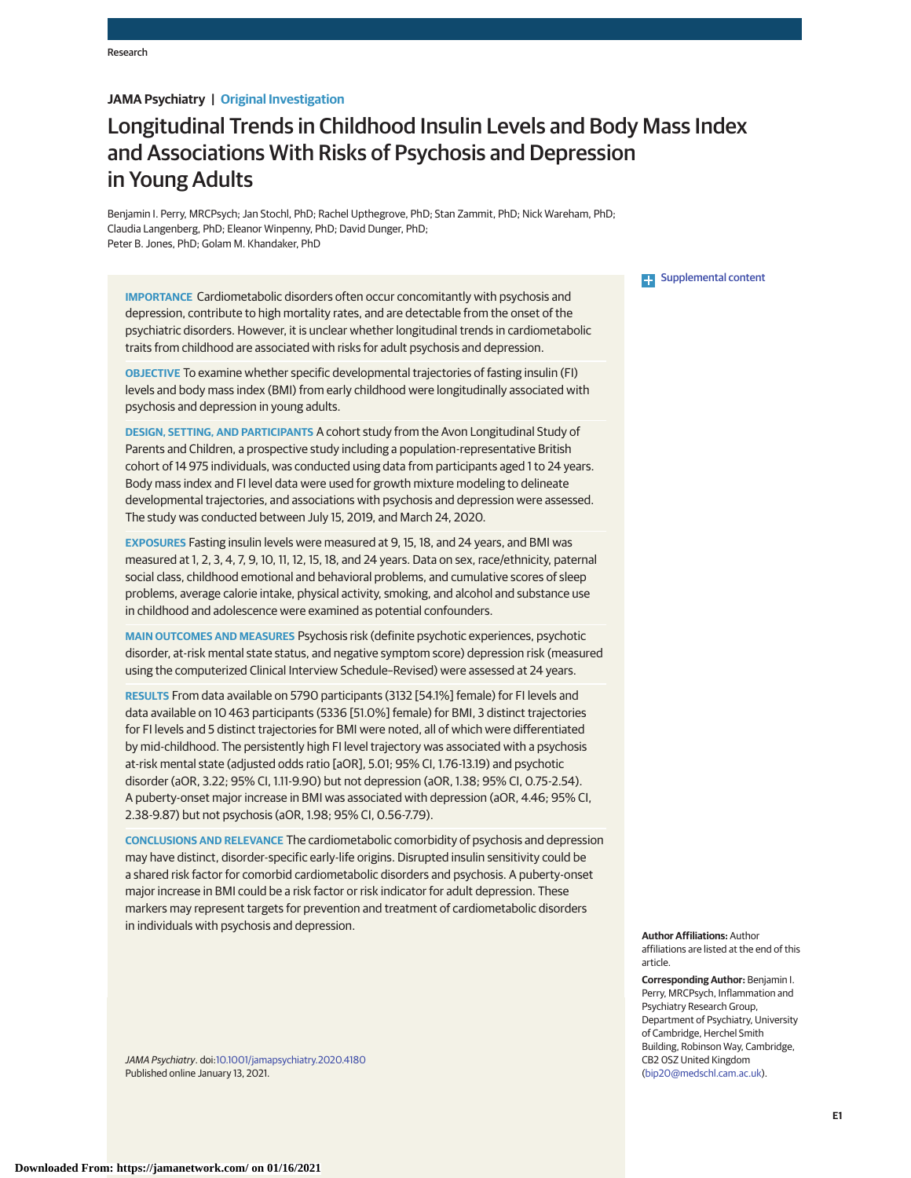# **JAMA Psychiatry | Original Investigation**

# Longitudinal Trends in Childhood Insulin Levels and Body Mass Index and Associations With Risks of Psychosis and Depression in Young Adults

Benjamin I. Perry, MRCPsych; Jan Stochl, PhD; Rachel Upthegrove, PhD; Stan Zammit, PhD; Nick Wareham, PhD; Claudia Langenberg, PhD; Eleanor Winpenny, PhD; David Dunger, PhD; Peter B. Jones, PhD; Golam M. Khandaker, PhD

**IMPORTANCE** Cardiometabolic disorders often occur concomitantly with psychosis and depression, contribute to high mortality rates, and are detectable from the onset of the psychiatric disorders. However, it is unclear whether longitudinal trends in cardiometabolic traits from childhood are associated with risks for adult psychosis and depression.

**OBJECTIVE** To examine whether specific developmental trajectories of fasting insulin (FI) levels and body mass index (BMI) from early childhood were longitudinally associated with psychosis and depression in young adults.

**DESIGN, SETTING, AND PARTICIPANTS** A cohort study from the Avon Longitudinal Study of Parents and Children, a prospective study including a population-representative British cohort of 14 975 individuals, was conducted using data from participants aged 1 to 24 years. Body mass index and FI level data were used for growth mixture modeling to delineate developmental trajectories, and associations with psychosis and depression were assessed. The study was conducted between July 15, 2019, and March 24, 2020.

**EXPOSURES** Fasting insulin levels were measured at 9, 15, 18, and 24 years, and BMI was measured at 1, 2, 3, 4, 7, 9, 10, 11, 12, 15, 18, and 24 years. Data on sex, race/ethnicity, paternal social class, childhood emotional and behavioral problems, and cumulative scores of sleep problems, average calorie intake, physical activity, smoking, and alcohol and substance use in childhood and adolescence were examined as potential confounders.

**MAIN OUTCOMES AND MEASURES** Psychosis risk (definite psychotic experiences, psychotic disorder, at-risk mental state status, and negative symptom score) depression risk (measured using the computerized Clinical Interview Schedule–Revised) were assessed at 24 years.

**RESULTS** From data available on 5790 participants (3132 [54.1%] female) for FI levels and data available on 10 463 participants (5336 [51.0%] female) for BMI, 3 distinct trajectories for FI levels and 5 distinct trajectories for BMI were noted, all of which were differentiated by mid-childhood. The persistently high FI level trajectory was associated with a psychosis at-risk mental state (adjusted odds ratio [aOR], 5.01; 95% CI, 1.76-13.19) and psychotic disorder (aOR, 3.22; 95% CI, 1.11-9.90) but not depression (aOR, 1.38; 95% CI, 0.75-2.54). A puberty-onset major increase in BMI was associated with depression (aOR, 4.46; 95% CI, 2.38-9.87) but not psychosis (aOR, 1.98; 95% CI, 0.56-7.79).

**CONCLUSIONS AND RELEVANCE** The cardiometabolic comorbidity of psychosis and depression may have distinct, disorder-specific early-life origins. Disrupted insulin sensitivity could be a shared risk factor for comorbid cardiometabolic disorders and psychosis. A puberty-onset major increase in BMI could be a risk factor or risk indicator for adult depression. These markers may represent targets for prevention and treatment of cardiometabolic disorders in individuals with psychosis and depression.

JAMA Psychiatry. doi[:10.1001/jamapsychiatry.2020.4180](https://jamanetwork.com/journals/jama/fullarticle/10.1001/jamapsychiatry.2020.4180?utm_campaign=articlePDF%26utm_medium=articlePDFlink%26utm_source=articlePDF%26utm_content=jamapsychiatry.2020.4180) Published online January 13, 2021.

## **Examplemental content**

**Author Affiliations:** Author affiliations are listed at the end of this article.

**Corresponding Author:** Benjamin I. Perry, MRCPsych, Inflammation and Psychiatry Research Group, Department of Psychiatry, University of Cambridge, Herchel Smith Building, Robinson Way, Cambridge, CB2 0SZ United Kingdom [\(bip20@medschl.cam.ac.uk\)](mailto:bip20@medschl.cam.ac.uk).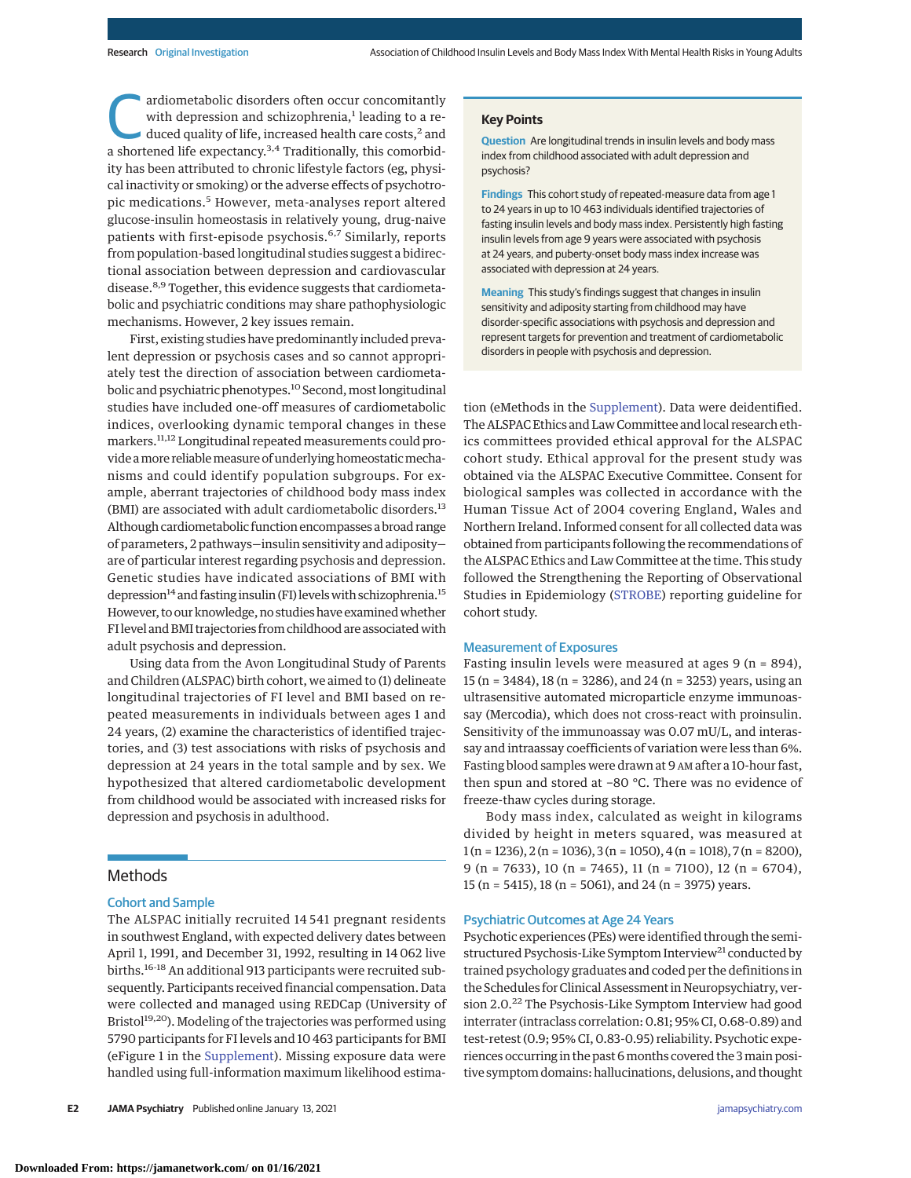ardiometabolic disorders often occur concomitantly<br>with depression and schizophrenia,<sup>1</sup> leading to a re-<br>duced quality of life, increased health care costs,<sup>2</sup> and<br>a shortened life expectancy <sup>3,4</sup> Traditionally, this com with depression and schizophrenia, $<sup>1</sup>$  leading to a re-</sup> a shortened life expectancy.3,4 Traditionally, this comorbidity has been attributed to chronic lifestyle factors (eg, physical inactivity or smoking) or the adverse effects of psychotropic medications.<sup>5</sup> However, meta-analyses report altered glucose-insulin homeostasis in relatively young, drug-naive patients with first-episode psychosis.6,7 Similarly, reports from population-based longitudinal studies suggest a bidirectional association between depression and cardiovascular disease.<sup>8,9</sup> Together, this evidence suggests that cardiometabolic and psychiatric conditions may share pathophysiologic mechanisms. However, 2 key issues remain.

First, existing studies have predominantly included prevalent depression or psychosis cases and so cannot appropriately test the direction of association between cardiometabolic and psychiatric phenotypes.<sup>10</sup> Second, most longitudinal studies have included one-off measures of cardiometabolic indices, overlooking dynamic temporal changes in these markers.11,12 Longitudinal repeated measurements could provide a more reliable measure of underlying homeostatic mechanisms and could identify population subgroups. For example, aberrant trajectories of childhood body mass index (BMI) are associated with adult cardiometabolic disorders.<sup>13</sup> Although cardiometabolic function encompasses a broad range of parameters, 2 pathways—insulin sensitivity and adiposity are of particular interest regarding psychosis and depression. Genetic studies have indicated associations of BMI with depression<sup>14</sup> and fasting insulin (FI) levels with schizophrenia.<sup>15</sup> However, to our knowledge, no studies have examinedwhether FI level and BMI trajectories from childhood are associated with adult psychosis and depression.

Using data from the Avon Longitudinal Study of Parents and Children (ALSPAC) birth cohort, we aimed to (1) delineate longitudinal trajectories of FI level and BMI based on repeated measurements in individuals between ages 1 and 24 years, (2) examine the characteristics of identified trajectories, and (3) test associations with risks of psychosis and depression at 24 years in the total sample and by sex. We hypothesized that altered cardiometabolic development from childhood would be associated with increased risks for depression and psychosis in adulthood.

# Methods

## Cohort and Sample

The ALSPAC initially recruited 14 541 pregnant residents in southwest England, with expected delivery dates between April 1, 1991, and December 31, 1992, resulting in 14 062 live births.<sup>16-18</sup> An additional 913 participants were recruited subsequently. Participants received financial compensation. Data were collected and managed using REDCap (University of Bristol<sup>19,20</sup>). Modeling of the trajectories was performed using 5790 participants for FI levels and 10 463 participants for BMI (eFigure 1 in the [Supplement\)](https://jamanetwork.com/journals/jama/fullarticle/10.1001/jamapsychiatry.2020.4180?utm_campaign=articlePDF%26utm_medium=articlePDFlink%26utm_source=articlePDF%26utm_content=jamapsychiatry.2020.4180). Missing exposure data were handled using full-information maximum likelihood estima-

## **Key Points**

**Question** Are longitudinal trends in insulin levels and body mass index from childhood associated with adult depression and psychosis?

**Findings** This cohort study of repeated-measure data from age 1 to 24 years in up to 10 463 individuals identified trajectories of fasting insulin levels and body mass index. Persistently high fasting insulin levels from age 9 years were associated with psychosis at 24 years, and puberty-onset body mass index increase was associated with depression at 24 years.

**Meaning** This study's findings suggest that changes in insulin sensitivity and adiposity starting from childhood may have disorder-specific associations with psychosis and depression and represent targets for prevention and treatment of cardiometabolic disorders in people with psychosis and depression.

tion (eMethods in the [Supplement\)](https://jamanetwork.com/journals/jama/fullarticle/10.1001/jamapsychiatry.2020.4180?utm_campaign=articlePDF%26utm_medium=articlePDFlink%26utm_source=articlePDF%26utm_content=jamapsychiatry.2020.4180). Data were deidentified. The ALSPAC Ethics and Law Committee and local research ethics committees provided ethical approval for the ALSPAC cohort study. Ethical approval for the present study was obtained via the ALSPAC Executive Committee. Consent for biological samples was collected in accordance with the Human Tissue Act of 2004 covering England, Wales and Northern Ireland. Informed consent for all collected data was obtained from participants following the recommendations of the ALSPAC Ethics and Law Committee at the time. This study followed the Strengthening the Reporting of Observational Studies in Epidemiology [\(STROBE\)](https://www.equator-network.org/reporting-guidelines/strobe/) reporting guideline for cohort study.

## Measurement of Exposures

Fasting insulin levels were measured at ages  $9$  (n = 894), 15 (n = 3484), 18 (n = 3286), and 24 (n = 3253) years, using an ultrasensitive automated microparticle enzyme immunoassay (Mercodia), which does not cross-react with proinsulin. Sensitivity of the immunoassay was 0.07 mU/L, and interassay and intraassay coefficients of variation were less than 6%. Fasting blood samples were drawn at 9 AM after a 10-hour fast, then spun and stored at −80 °C. There was no evidence of freeze-thaw cycles during storage.

Body mass index, calculated as weight in kilograms divided by height in meters squared, was measured at  $1(n = 1236), 2(n = 1036), 3(n = 1050), 4(n = 1018), 7(n = 8200),$ 9 (n = 7633), 10 (n = 7465), 11 (n = 7100), 12 (n = 6704), 15 (n = 5415), 18 (n = 5061), and 24 (n = 3975) years.

#### Psychiatric Outcomes at Age 24 Years

Psychotic experiences (PEs) were identified through the semistructured Psychosis-Like Symptom Interview<sup>21</sup> conducted by trained psychology graduates and coded per the definitions in the Schedules for Clinical Assessment in Neuropsychiatry, version 2.0.<sup>22</sup> The Psychosis-Like Symptom Interview had good interrater (intraclass correlation: 0.81; 95% CI, 0.68-0.89) and test-retest (0.9; 95% CI, 0.83-0.95) reliability. Psychotic experiences occurring in the past 6 months covered the 3 main positive symptom domains: hallucinations, delusions, and thought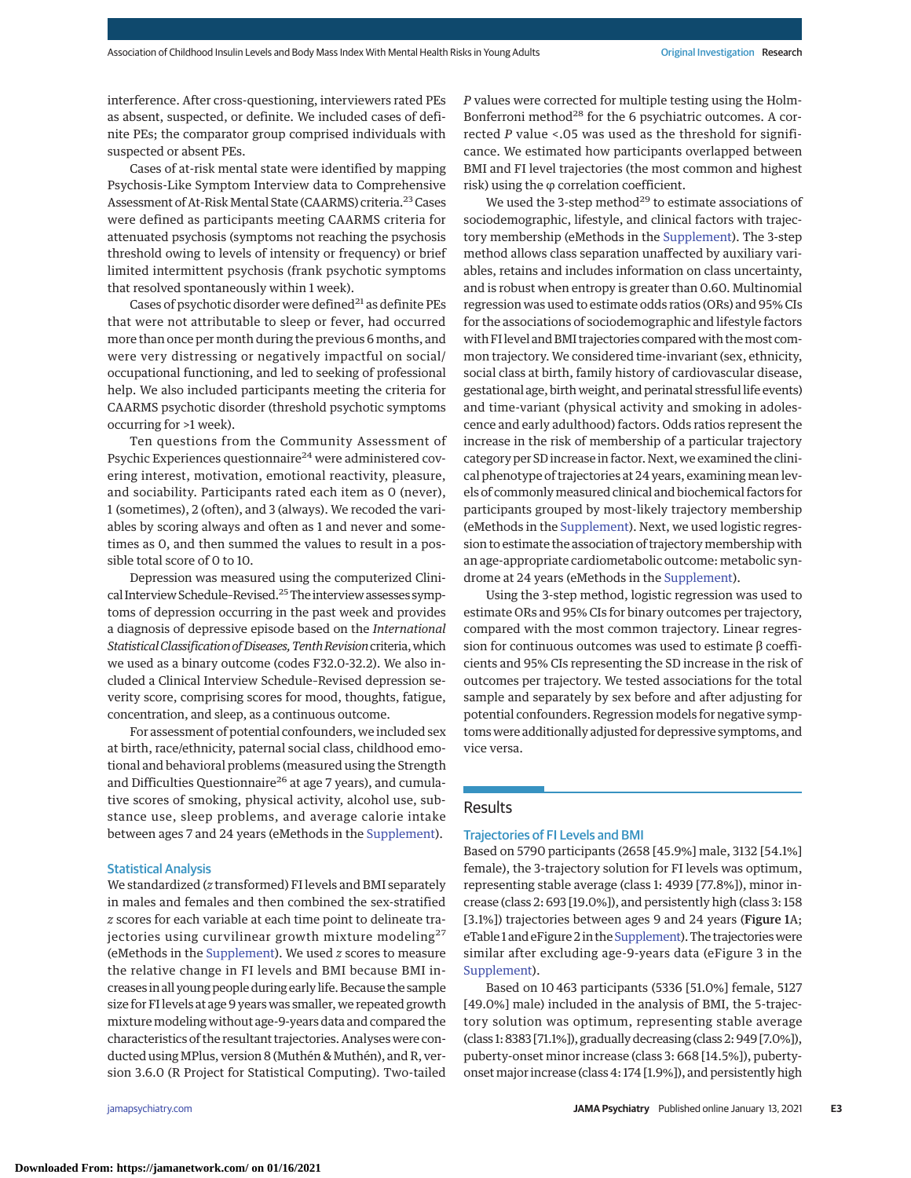interference. After cross-questioning, interviewers rated PEs as absent, suspected, or definite. We included cases of definite PEs; the comparator group comprised individuals with suspected or absent PEs.

Cases of at-risk mental state were identified by mapping Psychosis-Like Symptom Interview data to Comprehensive Assessment of At-Risk Mental State (CAARMS) criteria.<sup>23</sup> Cases were defined as participants meeting CAARMS criteria for attenuated psychosis (symptoms not reaching the psychosis threshold owing to levels of intensity or frequency) or brief limited intermittent psychosis (frank psychotic symptoms that resolved spontaneously within 1 week).

Cases of psychotic disorder were defined $^{21}$  as definite PEs that were not attributable to sleep or fever, had occurred more than once per month during the previous 6 months, and were very distressing or negatively impactful on social/ occupational functioning, and led to seeking of professional help. We also included participants meeting the criteria for CAARMS psychotic disorder (threshold psychotic symptoms occurring for >1 week).

Ten questions from the Community Assessment of Psychic Experiences questionnaire<sup>24</sup> were administered covering interest, motivation, emotional reactivity, pleasure, and sociability. Participants rated each item as 0 (never), 1 (sometimes), 2 (often), and 3 (always). We recoded the variables by scoring always and often as 1 and never and sometimes as 0, and then summed the values to result in a possible total score of 0 to 10.

Depression was measured using the computerized Clinical Interview Schedule-Revised.<sup>25</sup> The interview assesses symptoms of depression occurring in the past week and provides a diagnosis of depressive episode based on the *International StatisticalClassification ofDiseases,TenthRevision*criteria,which we used as a binary outcome (codes F32.0-32.2). We also included a Clinical Interview Schedule–Revised depression severity score, comprising scores for mood, thoughts, fatigue, concentration, and sleep, as a continuous outcome.

For assessment of potential confounders, we included sex at birth, race/ethnicity, paternal social class, childhood emotional and behavioral problems (measured using the Strength and Difficulties Questionnaire<sup>26</sup> at age 7 years), and cumulative scores of smoking, physical activity, alcohol use, substance use, sleep problems, and average calorie intake between ages 7 and 24 years (eMethods in the [Supplement\)](https://jamanetwork.com/journals/jama/fullarticle/10.1001/jamapsychiatry.2020.4180?utm_campaign=articlePDF%26utm_medium=articlePDFlink%26utm_source=articlePDF%26utm_content=jamapsychiatry.2020.4180).

#### Statistical Analysis

We standardized (*z* transformed) FI levels and BMI separately in males and females and then combined the sex-stratified *z* scores for each variable at each time point to delineate trajectories using curvilinear growth mixture modeling<sup>27</sup> (eMethods in the [Supplement\)](https://jamanetwork.com/journals/jama/fullarticle/10.1001/jamapsychiatry.2020.4180?utm_campaign=articlePDF%26utm_medium=articlePDFlink%26utm_source=articlePDF%26utm_content=jamapsychiatry.2020.4180). We used *z* scores to measure the relative change in FI levels and BMI because BMI increases in all young people during early life. Because the sample size for FI levels at age 9 years was smaller, we repeated growth mixture modeling without age-9-years data and compared the characteristics of the resultant trajectories. Analyses were conducted using MPlus, version 8 (Muthén & Muthén), and R, version 3.6.0 (R Project for Statistical Computing). Two-tailed

*P* values were corrected for multiple testing using the Holm-Bonferroni method<sup>28</sup> for the 6 psychiatric outcomes. A corrected *P* value <.05 was used as the threshold for significance. We estimated how participants overlapped between BMI and FI level trajectories (the most common and highest risk) using the φ correlation coefficient.

We used the 3-step method<sup>29</sup> to estimate associations of sociodemographic, lifestyle, and clinical factors with trajectory membership (eMethods in the [Supplement\)](https://jamanetwork.com/journals/jama/fullarticle/10.1001/jamapsychiatry.2020.4180?utm_campaign=articlePDF%26utm_medium=articlePDFlink%26utm_source=articlePDF%26utm_content=jamapsychiatry.2020.4180). The 3-step method allows class separation unaffected by auxiliary variables, retains and includes information on class uncertainty, and is robust when entropy is greater than 0.60. Multinomial regression was used to estimate odds ratios (ORs) and 95% CIs for the associations of sociodemographic and lifestyle factors with FI level and BMI trajectories compared with the most common trajectory. We considered time-invariant (sex, ethnicity, social class at birth, family history of cardiovascular disease, gestational age, birth weight, and perinatal stressful life events) and time-variant (physical activity and smoking in adolescence and early adulthood) factors. Odds ratios represent the increase in the risk of membership of a particular trajectory category per SD increase in factor. Next, we examined the clinical phenotype of trajectories at 24 years, examining mean levels of commonlymeasured clinical and biochemical factors for participants grouped by most-likely trajectory membership (eMethods in the [Supplement\)](https://jamanetwork.com/journals/jama/fullarticle/10.1001/jamapsychiatry.2020.4180?utm_campaign=articlePDF%26utm_medium=articlePDFlink%26utm_source=articlePDF%26utm_content=jamapsychiatry.2020.4180). Next, we used logistic regression to estimate the association of trajectory membership with an age-appropriate cardiometabolic outcome: metabolic syndrome at 24 years (eMethods in the [Supplement\)](https://jamanetwork.com/journals/jama/fullarticle/10.1001/jamapsychiatry.2020.4180?utm_campaign=articlePDF%26utm_medium=articlePDFlink%26utm_source=articlePDF%26utm_content=jamapsychiatry.2020.4180).

Using the 3-step method, logistic regression was used to estimate ORs and 95% CIs for binary outcomes per trajectory, compared with the most common trajectory. Linear regression for continuous outcomes was used to estimate β coefficients and 95% CIs representing the SD increase in the risk of outcomes per trajectory. We tested associations for the total sample and separately by sex before and after adjusting for potential confounders. Regression models for negative symptoms were additionally adjusted for depressive symptoms, and vice versa.

## Results

### Trajectories of FI Levels and BMI

Based on 5790 participants (2658 [45.9%] male, 3132 [54.1%] female), the 3-trajectory solution for FI levels was optimum, representing stable average (class 1: 4939 [77.8%]), minor increase (class 2: 693 [19.0%]), and persistently high (class 3: 158 [3.1%]) trajectories between ages 9 and 24 years (Figure 1A; eTable 1 and eFigure 2 in the Supplement). The trajectories were similar after excluding age-9-years data (eFigure 3 in the [Supplement\)](https://jamanetwork.com/journals/jama/fullarticle/10.1001/jamapsychiatry.2020.4180?utm_campaign=articlePDF%26utm_medium=articlePDFlink%26utm_source=articlePDF%26utm_content=jamapsychiatry.2020.4180).

Based on 10 463 participants (5336 [51.0%] female, 5127 [49.0%] male) included in the analysis of BMI, the 5-trajectory solution was optimum, representing stable average (class 1: 8383 [71.1%]), gradually decreasing (class 2: 949 [7.0%]), puberty-onset minor increase (class 3: 668 [14.5%]), pubertyonsetmajor increase (class 4: 174 [1.9%]), and persistently high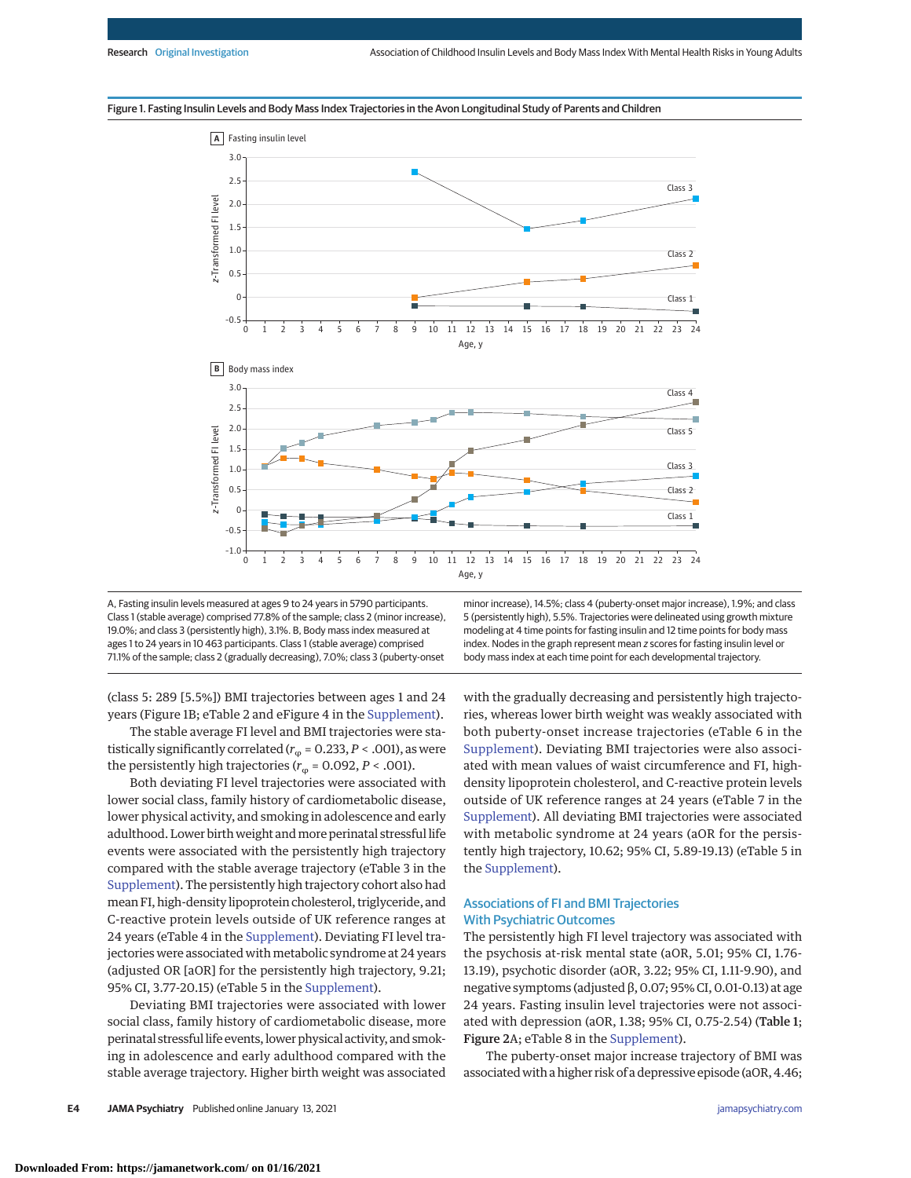



A, Fasting insulin levels measured at ages 9 to 24 years in 5790 participants. Class 1 (stable average) comprised 77.8% of the sample; class 2 (minor increase), 19.0%; and class 3 (persistently high), 3.1%. B, Body mass index measured at ages 1 to 24 years in 10 463 participants. Class 1 (stable average) comprised 71.1% of the sample; class 2 (gradually decreasing), 7.0%; class 3 (puberty-onset minor increase), 14.5%; class 4 (puberty-onset major increase), 1.9%; and class 5 (persistently high), 5.5%. Trajectories were delineated using growth mixture modeling at 4 time points for fasting insulin and 12 time points for body mass index. Nodes in the graph represent mean z scores for fasting insulin level or body mass index at each time point for each developmental trajectory.

(class 5: 289 [5.5%]) BMI trajectories between ages 1 and 24 years (Figure 1B; eTable 2 and eFigure 4 in the [Supplement\)](https://jamanetwork.com/journals/jama/fullarticle/10.1001/jamapsychiatry.2020.4180?utm_campaign=articlePDF%26utm_medium=articlePDFlink%26utm_source=articlePDF%26utm_content=jamapsychiatry.2020.4180).

The stable average FI level and BMI trajectories were statistically significantly correlated ( $r_{\varphi}$  = 0.233, *P* < .001), as were the persistently high trajectories ( $r_\text{\tiny Q}$  = 0.092, *P* < .001).

Both deviating FI level trajectories were associated with lower social class, family history of cardiometabolic disease, lower physical activity, and smoking in adolescence and early adulthood. Lower birth weight andmore perinatal stressful life events were associated with the persistently high trajectory compared with the stable average trajectory (eTable 3 in the [Supplement\)](https://jamanetwork.com/journals/jama/fullarticle/10.1001/jamapsychiatry.2020.4180?utm_campaign=articlePDF%26utm_medium=articlePDFlink%26utm_source=articlePDF%26utm_content=jamapsychiatry.2020.4180). The persistently high trajectory cohort also had mean FI, high-density lipoprotein cholesterol, triglyceride, and C-reactive protein levels outside of UK reference ranges at 24 years (eTable 4 in the [Supplement\)](https://jamanetwork.com/journals/jama/fullarticle/10.1001/jamapsychiatry.2020.4180?utm_campaign=articlePDF%26utm_medium=articlePDFlink%26utm_source=articlePDF%26utm_content=jamapsychiatry.2020.4180). Deviating FI level trajectories were associated with metabolic syndrome at 24 years (adjusted OR [aOR] for the persistently high trajectory, 9.21; 95% CI, 3.77-20.15) (eTable 5 in the [Supplement\)](https://jamanetwork.com/journals/jama/fullarticle/10.1001/jamapsychiatry.2020.4180?utm_campaign=articlePDF%26utm_medium=articlePDFlink%26utm_source=articlePDF%26utm_content=jamapsychiatry.2020.4180).

Deviating BMI trajectories were associated with lower social class, family history of cardiometabolic disease, more perinatal stressful life events, lower physical activity, and smoking in adolescence and early adulthood compared with the stable average trajectory. Higher birth weight was associated

with the gradually decreasing and persistently high trajectories, whereas lower birth weight was weakly associated with both puberty-onset increase trajectories (eTable 6 in the [Supplement\)](https://jamanetwork.com/journals/jama/fullarticle/10.1001/jamapsychiatry.2020.4180?utm_campaign=articlePDF%26utm_medium=articlePDFlink%26utm_source=articlePDF%26utm_content=jamapsychiatry.2020.4180). Deviating BMI trajectories were also associated with mean values of waist circumference and FI, highdensity lipoprotein cholesterol, and C-reactive protein levels outside of UK reference ranges at 24 years (eTable 7 in the [Supplement\)](https://jamanetwork.com/journals/jama/fullarticle/10.1001/jamapsychiatry.2020.4180?utm_campaign=articlePDF%26utm_medium=articlePDFlink%26utm_source=articlePDF%26utm_content=jamapsychiatry.2020.4180). All deviating BMI trajectories were associated with metabolic syndrome at 24 years (aOR for the persistently high trajectory, 10.62; 95% CI, 5.89-19.13) (eTable 5 in the [Supplement\)](https://jamanetwork.com/journals/jama/fullarticle/10.1001/jamapsychiatry.2020.4180?utm_campaign=articlePDF%26utm_medium=articlePDFlink%26utm_source=articlePDF%26utm_content=jamapsychiatry.2020.4180).

## Associations of FI and BMI Trajectories With Psychiatric Outcomes

The persistently high FI level trajectory was associated with the psychosis at-risk mental state (aOR, 5.01; 95% CI, 1.76- 13.19), psychotic disorder (aOR, 3.22; 95% CI, 1.11-9.90), and negative symptoms (adjusted β, 0.07; 95% CI, 0.01-0.13) at age 24 years. Fasting insulin level trajectories were not associated with depression (aOR, 1.38; 95% CI, 0.75-2.54) (Table 1; Figure 2A; eTable 8 in the [Supplement\)](https://jamanetwork.com/journals/jama/fullarticle/10.1001/jamapsychiatry.2020.4180?utm_campaign=articlePDF%26utm_medium=articlePDFlink%26utm_source=articlePDF%26utm_content=jamapsychiatry.2020.4180).

The puberty-onset major increase trajectory of BMI was associated with a higher risk of a depressive episode (aOR, 4.46;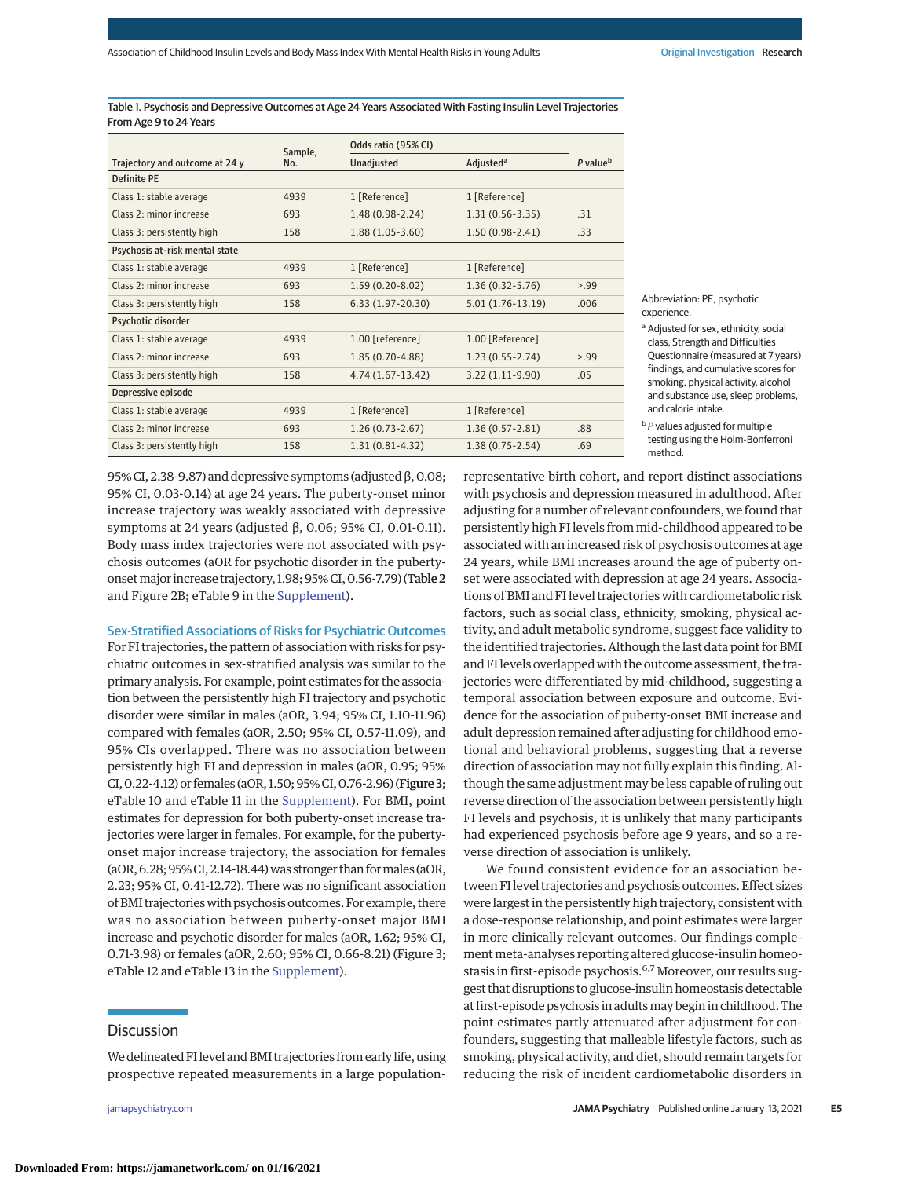Table 1. Psychosis and Depressive Outcomes at Age 24 Years Associated With Fasting Insulin Level Trajectories From Age 9 to 24 Years

|                                | Sample, | Odds ratio (95% CI) |                       |                      |
|--------------------------------|---------|---------------------|-----------------------|----------------------|
| Trajectory and outcome at 24 y | No.     | <b>Unadjusted</b>   | Adjusted <sup>a</sup> | P value <sup>b</sup> |
| <b>Definite PF</b>             |         |                     |                       |                      |
| Class 1: stable average        | 4939    | 1 [Reference]       | 1 [Reference]         |                      |
| Class 2·minor increase         | 693     | $1.48(0.98-2.24)$   | $1.31(0.56-3.35)$     | .31                  |
| Class 3: persistently high     | 158     | $1.88(1.05-3.60)$   | $1.50(0.98-2.41)$     | .33                  |
| Psychosis at-risk mental state |         |                     |                       |                      |
| Class 1: stable average        | 4939    | 1 [Reference]       | 1 [Reference]         |                      |
| Class 2: minor increase        | 693     | $1.59(0.20-8.02)$   | $1.36(0.32 - 5.76)$   | > 99                 |
| Class 3: persistently high     | 158     | $6.33(1.97-20.30)$  | $5.01(1.76-13.19)$    | .006                 |
| Psychotic disorder             |         |                     |                       |                      |
| Class 1: stable average        | 4939    | 1.00 [reference]    | 1.00 [Reference]      |                      |
| Class 2: minor increase        | 693     | $1.85(0.70-4.88)$   | $1.23(0.55 - 2.74)$   | > 99                 |
| Class 3: persistently high     | 158     | $4.74(1.67-13.42)$  | $3.22(1.11-9.90)$     | .05                  |
| Depressive episode             |         |                     |                       |                      |
| Class 1: stable average        | 4939    | 1 [Reference]       | 1 [Reference]         |                      |
| $Class 2 \cdot minor increase$ | 693     | $1.26(0.73-2.67)$   | $1.36(0.57 - 2.81)$   | .88                  |
| Class 3: persistently high     | 158     | $1.31(0.81 - 4.32)$ | $1.38(0.75 - 2.54)$   | .69                  |

Abbreviation: PE, psychotic experience.

<sup>a</sup> Adjusted for sex, ethnicity, social class, Strength and Difficulties Questionnaire (measured at 7 years) findings, and cumulative scores for smoking, physical activity, alcohol and substance use, sleep problems, and calorie intake.

 $b$  P values adjusted for multiple testing using the Holm-Bonferroni method.

95% CI, 2.38-9.87) and depressive symptoms (adjusted  $β$ , 0.08; 95% CI, 0.03-0.14) at age 24 years. The puberty-onset minor increase trajectory was weakly associated with depressive symptoms at 24 years (adjusted β, 0.06; 95% CI, 0.01-0.11). Body mass index trajectories were not associated with psychosis outcomes (aOR for psychotic disorder in the pubertyonsetmajor increase trajectory, 1.98; 95% CI, 0.56-7.79) (Table 2 and Figure 2B; eTable 9 in the [Supplement\)](https://jamanetwork.com/journals/jama/fullarticle/10.1001/jamapsychiatry.2020.4180?utm_campaign=articlePDF%26utm_medium=articlePDFlink%26utm_source=articlePDF%26utm_content=jamapsychiatry.2020.4180).

Sex-Stratified Associations of Risks for Psychiatric Outcomes

For FI trajectories, the pattern of association with risks for psychiatric outcomes in sex-stratified analysis was similar to the primary analysis. For example, point estimates for the association between the persistently high FI trajectory and psychotic disorder were similar in males (aOR, 3.94; 95% CI, 1.10-11.96) compared with females (aOR, 2.50; 95% CI, 0.57-11.09), and 95% CIs overlapped. There was no association between persistently high FI and depression in males (aOR, 0.95; 95% CI,0.22-4.12) or females (aOR, 1.50; 95%CI,0.76-2.96) (Figure 3; eTable 10 and eTable 11 in the [Supplement\)](https://jamanetwork.com/journals/jama/fullarticle/10.1001/jamapsychiatry.2020.4180?utm_campaign=articlePDF%26utm_medium=articlePDFlink%26utm_source=articlePDF%26utm_content=jamapsychiatry.2020.4180). For BMI, point estimates for depression for both puberty-onset increase trajectories were larger in females. For example, for the pubertyonset major increase trajectory, the association for females (aOR, 6.28; 95%CI, 2.14-18.44)was stronger than formales (aOR, 2.23; 95% CI, 0.41-12.72). There was no significant association of BMI trajectories with psychosis outcomes. For example, there was no association between puberty-onset major BMI increase and psychotic disorder for males (aOR, 1.62; 95% CI, 0.71-3.98) or females (aOR, 2.60; 95% CI, 0.66-8.21) (Figure 3; eTable 12 and eTable 13 in the [Supplement\)](https://jamanetwork.com/journals/jama/fullarticle/10.1001/jamapsychiatry.2020.4180?utm_campaign=articlePDF%26utm_medium=articlePDFlink%26utm_source=articlePDF%26utm_content=jamapsychiatry.2020.4180).

## **Discussion**

We delineated FI level and BMI trajectories from early life, using prospective repeated measurements in a large population-

representative birth cohort, and report distinct associations with psychosis and depression measured in adulthood. After adjusting for a number of relevant confounders, we found that persistently high FI levels from mid-childhood appeared to be associated with an increased risk of psychosis outcomes at age 24 years, while BMI increases around the age of puberty onset were associated with depression at age 24 years. Associations of BMI and FI level trajectories with cardiometabolic risk factors, such as social class, ethnicity, smoking, physical activity, and adult metabolic syndrome, suggest face validity to the identified trajectories. Although the last data point for BMI and FI levels overlapped with the outcome assessment, the trajectories were differentiated by mid-childhood, suggesting a temporal association between exposure and outcome. Evidence for the association of puberty-onset BMI increase and adult depression remained after adjusting for childhood emotional and behavioral problems, suggesting that a reverse direction of association may not fully explain this finding. Although the same adjustment may be less capable of ruling out reverse direction of the association between persistently high FI levels and psychosis, it is unlikely that many participants had experienced psychosis before age 9 years, and so a reverse direction of association is unlikely.

We found consistent evidence for an association between FI level trajectories and psychosis outcomes. Effect sizes were largest in the persistently high trajectory, consistent with a dose-response relationship, and point estimates were larger in more clinically relevant outcomes. Our findings complement meta-analyses reporting altered glucose-insulin homeostasis in first-episode psychosis.<sup>6,7</sup> Moreover, our results suggest that disruptions to glucose-insulin homeostasis detectable at first-episode psychosis in adultsmay begin in childhood. The point estimates partly attenuated after adjustment for confounders, suggesting that malleable lifestyle factors, such as smoking, physical activity, and diet, should remain targets for reducing the risk of incident cardiometabolic disorders in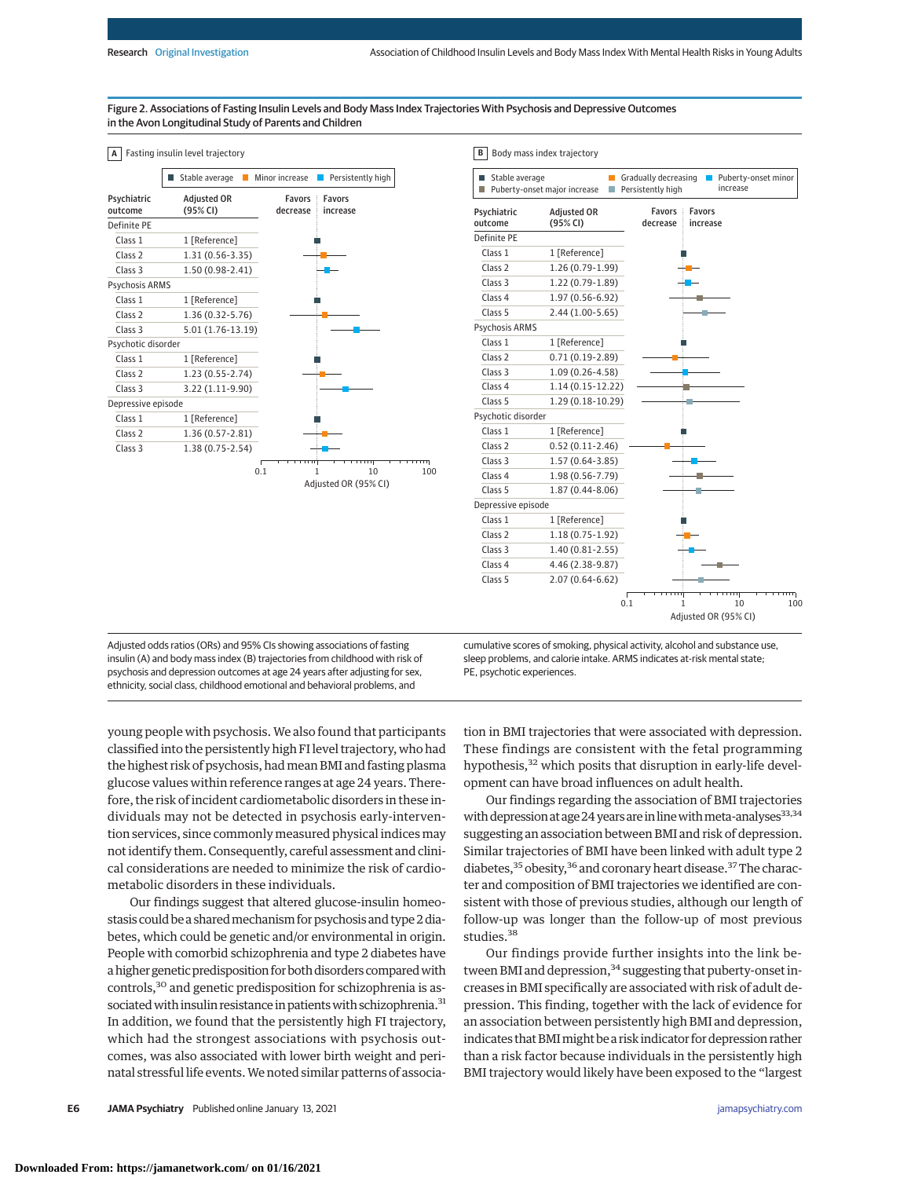### Figure 2. Associations of Fasting Insulin Levels and Body Mass Index Trajectories With Psychosis and Depressive Outcomes in the Avon Longitudinal Study of Parents and Children

## **A** Fasting insulin level trajectory

|                        | Stable average<br>H            | Minor increase            | Persistently high          |
|------------------------|--------------------------------|---------------------------|----------------------------|
| Psychiatric<br>outcome | <b>Adjusted OR</b><br>(95% CI) | <b>Favors</b><br>decrease | <b>Favors</b><br>increase  |
| Definite PE            |                                |                           |                            |
| Class <sub>1</sub>     | 1 [Reference]                  |                           |                            |
| Class <sub>2</sub>     | $1.31(0.56 - 3.35)$            |                           |                            |
| Class <sub>3</sub>     | 1.50 (0.98-2.41)               |                           |                            |
| Psychosis ARMS         |                                |                           |                            |
| Class <sub>1</sub>     | 1 [Reference]                  |                           |                            |
| Class <sub>2</sub>     | 1.36 (0.32-5.76)               |                           |                            |
| Class <sub>3</sub>     | 5.01 (1.76-13.19)              |                           |                            |
| Psychotic disorder     |                                |                           |                            |
| Class <sub>1</sub>     | 1 [Reference]                  |                           |                            |
| Class <sub>2</sub>     | $1.23(0.55 - 2.74)$            |                           |                            |
| Class 3                | 3.22 (1.11-9.90)               |                           |                            |
| Depressive episode     |                                |                           |                            |
| Class <sub>1</sub>     | 1 [Reference]                  |                           |                            |
| Class <sub>2</sub>     | 1.36 (0.57-2.81)               |                           |                            |
| Class <sub>3</sub>     | 1.38 (0.75-2.54)               |                           |                            |
|                        |                                | 0.1                       | 10<br>Adjusted OR (95% CI) |
|                        |                                |                           |                            |
|                        |                                |                           |                            |



Adjusted odds ratios (ORs) and 95% CIs showing associations of fasting insulin (A) and body mass index (B) trajectories from childhood with risk of psychosis and depression outcomes at age 24 years after adjusting for sex, ethnicity, social class, childhood emotional and behavioral problems, and

cumulative scores of smoking, physical activity, alcohol and substance use, sleep problems, and calorie intake. ARMS indicates at-risk mental state; PE, psychotic experiences.

young people with psychosis. We also found that participants classified into the persistently high FI level trajectory, who had the highest risk of psychosis, had mean BMI and fasting plasma glucose values within reference ranges at age 24 years. Therefore, the risk of incident cardiometabolic disorders in these individuals may not be detected in psychosis early-intervention services, since commonly measured physical indices may not identify them. Consequently, careful assessment and clinical considerations are needed to minimize the risk of cardiometabolic disorders in these individuals.

Our findings suggest that altered glucose-insulin homeostasis could be a shared mechanism for psychosis and type 2 diabetes, which could be genetic and/or environmental in origin. People with comorbid schizophrenia and type 2 diabetes have a higher genetic predisposition for both disorders compared with controls,30 and genetic predisposition for schizophrenia is associated with insulin resistance in patients with schizophrenia.<sup>31</sup> In addition, we found that the persistently high FI trajectory, which had the strongest associations with psychosis outcomes, was also associated with lower birth weight and perinatal stressful life events.We noted similar patterns of association in BMI trajectories that were associated with depression. These findings are consistent with the fetal programming hypothesis,<sup>32</sup> which posits that disruption in early-life development can have broad influences on adult health.

Our findings regarding the association of BMI trajectories with depression at age 24 years are in line with meta-analyses  $33,34$ suggesting an association between BMI and risk of depression. Similar trajectories of BMI have been linked with adult type 2 diabetes,<sup>35</sup> obesity,<sup>36</sup> and coronary heart disease.<sup>37</sup> The character and composition of BMI trajectories we identified are consistent with those of previous studies, although our length of follow-up was longer than the follow-up of most previous studies.<sup>38</sup>

Our findings provide further insights into the link between BMI and depression,<sup>34</sup> suggesting that puberty-onset increases in BMI specifically are associated with risk of adult depression. This finding, together with the lack of evidence for an association between persistently high BMI and depression, indicates that BMImight be a risk indicator for depression rather than a risk factor because individuals in the persistently high BMI trajectory would likely have been exposed to the "largest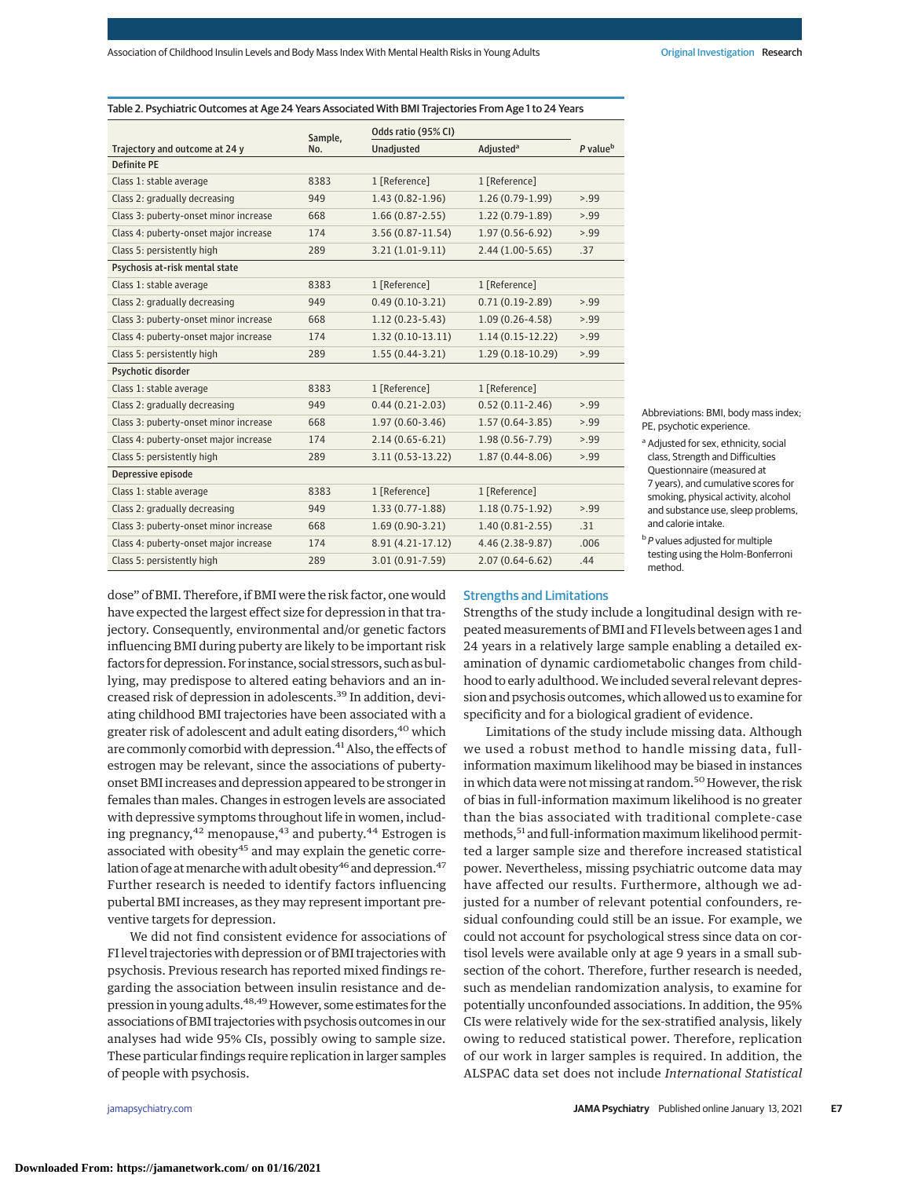|                                       | Sample, | Odds ratio (95% CI) |                             |                      |
|---------------------------------------|---------|---------------------|-----------------------------|----------------------|
| Trajectory and outcome at 24 y        | No.     | <b>Unadjusted</b>   | <b>Adjusted<sup>a</sup></b> | P value <sup>b</sup> |
| <b>Definite PE</b>                    |         |                     |                             |                      |
| Class 1: stable average               | 8383    | 1 [Reference]       | 1 [Reference]               |                      |
| Class 2: gradually decreasing         | 949     | $1.43(0.82 - 1.96)$ | $1.26(0.79-1.99)$           | >99                  |
| Class 3: puberty-onset minor increase | 668     | $1.66(0.87 - 2.55)$ | $1.22(0.79-1.89)$           | >99                  |
| Class 4: puberty-onset major increase | 174     | 3.56 (0.87-11.54)   | $1.97(0.56-6.92)$           | >99                  |
| Class 5: persistently high            | 289     | $3.21(1.01-9.11)$   | $2.44(1.00-5.65)$           | .37                  |
| Psychosis at-risk mental state        |         |                     |                             |                      |
| Class 1: stable average               | 8383    | 1 [Reference]       | 1 [Reference]               |                      |
| Class 2: gradually decreasing         | 949     | $0.49(0.10-3.21)$   | $0.71(0.19-2.89)$           | >99                  |
| Class 3: puberty-onset minor increase | 668     | $1.12(0.23 - 5.43)$ | $1.09(0.26 - 4.58)$         | >99                  |
| Class 4: puberty-onset major increase | 174     | $1.32(0.10-13.11)$  | $1.14(0.15-12.22)$          | >99                  |
| Class 5: persistently high            | 289     | $1.55(0.44-3.21)$   | 1.29 (0.18-10.29)           | >99                  |
| Psychotic disorder                    |         |                     |                             |                      |
| Class 1: stable average               | 8383    | 1 [Reference]       | 1 [Reference]               |                      |
| Class 2: gradually decreasing         | 949     | $0.44(0.21-2.03)$   | $0.52(0.11-2.46)$           | >99                  |
| Class 3: puberty-onset minor increase | 668     | $1.97(0.60-3.46)$   | $1.57(0.64-3.85)$           | >99                  |
| Class 4: puberty-onset major increase | 174     | $2.14(0.65 - 6.21)$ | 1.98 (0.56-7.79)            | >99                  |
| Class 5: persistently high            | 289     | 3.11 (0.53-13.22)   | $1.87(0.44 - 8.06)$         | >99                  |
| Depressive episode                    |         |                     |                             |                      |
| Class 1: stable average               | 8383    | 1 [Reference]       | 1 [Reference]               |                      |
| Class 2: gradually decreasing         | 949     | $1.33(0.77 - 1.88)$ | $1.18(0.75-1.92)$           | >99                  |
| Class 3: puberty-onset minor increase | 668     | $1.69(0.90-3.21)$   | $1.40(0.81 - 2.55)$         | .31                  |
| Class 4: puberty-onset major increase | 174     | 8.91 (4.21-17.12)   | 4.46 (2.38-9.87)            | .006                 |
| Class 5: persistently high            | 289     | 3.01 (0.91-7.59)    | $2.07(0.64 - 6.62)$         | .44                  |

### Table 2. Psychiatric Outcomes at Age 24 Years Associated With BMI Trajectories From Age 1 to 24 Years

Abbreviations: BMI, body mass index; PE, psychotic experience.

<sup>a</sup> Adjusted for sex, ethnicity, social class, Strength and Difficulties Questionnaire (measured at 7 years), and cumulative scores for smoking, physical activity, alcohol and substance use, sleep problems, and calorie intake.

 $b$  P values adjusted for multiple testing using the Holm-Bonferroni method.

dose" of BMI. Therefore, if BMI were the risk factor, one would have expected the largest effect size for depression in that trajectory. Consequently, environmental and/or genetic factors influencing BMI during puberty are likely to be important risk factors for depression. For instance, social stressors, such as bullying, may predispose to altered eating behaviors and an increased risk of depression in adolescents.39 In addition, deviating childhood BMI trajectories have been associated with a greater risk of adolescent and adult eating disorders,<sup>40</sup> which are commonly comorbid with depression.<sup>41</sup> Also, the effects of estrogen may be relevant, since the associations of pubertyonset BMI increases and depression appeared to be stronger in females than males. Changes in estrogen levels are associated with depressive symptoms throughout life in women, including pregnancy,  $42$  menopause,  $43$  and puberty,  $44$  Estrogen is associated with obesity<sup>45</sup> and may explain the genetic correlation of age at menarche with adult obesity<sup>46</sup> and depression.<sup>47</sup> Further research is needed to identify factors influencing pubertal BMI increases, as they may represent important preventive targets for depression.

We did not find consistent evidence for associations of FI level trajectories with depression or of BMI trajectories with psychosis. Previous research has reported mixed findings regarding the association between insulin resistance and depression in young adults.<sup>48,49</sup> However, some estimates for the associations of BMI trajectories with psychosis outcomes in our analyses had wide 95% CIs, possibly owing to sample size. These particular findings require replication in larger samples of people with psychosis.

### Strengths and Limitations

Strengths of the study include a longitudinal design with repeated measurements of BMI and FI levels between ages 1 and 24 years in a relatively large sample enabling a detailed examination of dynamic cardiometabolic changes from childhood to early adulthood.We included several relevant depression and psychosis outcomes, which allowed us to examine for specificity and for a biological gradient of evidence.

Limitations of the study include missing data. Although we used a robust method to handle missing data, fullinformation maximum likelihood may be biased in instances in which data were not missing at random.<sup>50</sup> However, the risk of bias in full-information maximum likelihood is no greater than the bias associated with traditional complete-case methods,51 and full-information maximum likelihood permitted a larger sample size and therefore increased statistical power. Nevertheless, missing psychiatric outcome data may have affected our results. Furthermore, although we adjusted for a number of relevant potential confounders, residual confounding could still be an issue. For example, we could not account for psychological stress since data on cortisol levels were available only at age 9 years in a small subsection of the cohort. Therefore, further research is needed, such as mendelian randomization analysis, to examine for potentially unconfounded associations. In addition, the 95% CIs were relatively wide for the sex-stratified analysis, likely owing to reduced statistical power. Therefore, replication of our work in larger samples is required. In addition, the ALSPAC data set does not include *International Statistical*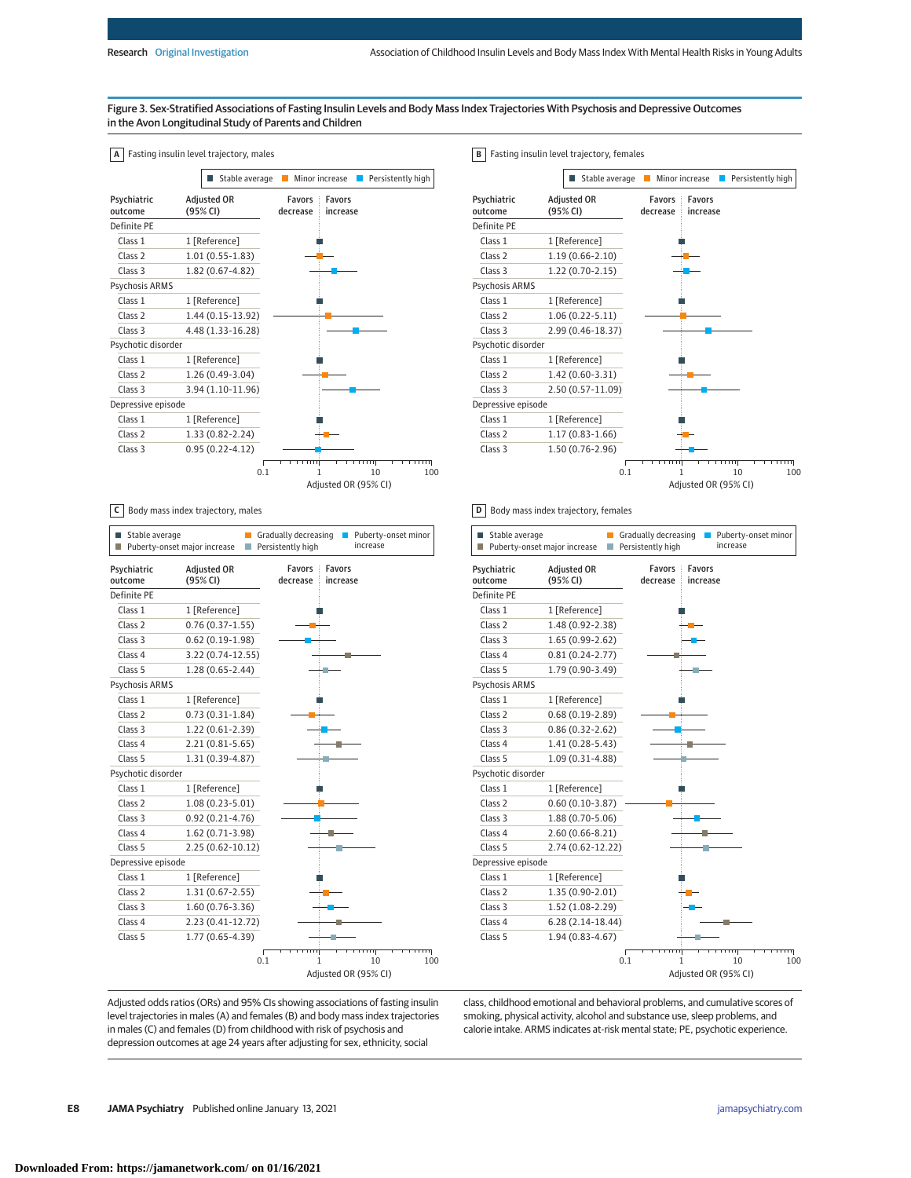**B** Fasting insulin level trajectory, females

## Figure 3. Sex-Stratified Associations of Fasting Insulin Levels and Body Mass Index Trajectories With Psychosis and Depressive Outcomes in the Avon Longitudinal Study of Parents and Children

| Α                      | Fasting insulin level trajectory, males |                                                        |
|------------------------|-----------------------------------------|--------------------------------------------------------|
|                        | Stable average                          | Minor increase<br>Persistently high                    |
| Psychiatric<br>outcome | <b>Adjusted OR</b><br>(95% CI)          | <b>Favors</b><br><b>Favors</b><br>decrease<br>increase |
| Definite PE            |                                         |                                                        |
| Class <sub>1</sub>     | 1 [Reference]                           |                                                        |
| Class <sub>2</sub>     | $1.01(0.55-1.83)$                       |                                                        |
| Class <sub>3</sub>     | 1.82 (0.67-4.82)                        |                                                        |
| Psychosis ARMS         |                                         |                                                        |
| Class <sub>1</sub>     | 1 [Reference]                           |                                                        |
| Class <sub>2</sub>     | 1.44 (0.15-13.92)                       |                                                        |
| Class <sub>3</sub>     | 4.48 (1.33-16.28)                       |                                                        |
| Psychotic disorder     |                                         |                                                        |
| Class <sub>1</sub>     | 1 [Reference]                           |                                                        |
| Class <sub>2</sub>     | 1.26 (0.49-3.04)                        |                                                        |
| Class <sub>3</sub>     | 3.94 (1.10-11.96)                       |                                                        |
| Depressive episode     |                                         |                                                        |
| Class <sub>1</sub>     | 1 [Reference]                           |                                                        |
| Class <sub>2</sub>     | 1.33 (0.82-2.24)                        |                                                        |
| Class <sub>3</sub>     | $0.95(0.22 - 4.12)$                     |                                                        |
|                        | 0.1                                     | 10<br>100<br>1<br>Adjusted OR (95% CI)                 |

**C** Body mass index trajectory, males

| Stable average<br>Ш    | Puberty-onset major increase<br>H | Gradually decreasing<br>Persistently high | Puberty-onset minor<br>increase |
|------------------------|-----------------------------------|-------------------------------------------|---------------------------------|
| Psychiatric<br>outcome | <b>Adjusted OR</b><br>(95% CI)    | <b>Favors</b><br>decrease                 | <b>Favors</b><br>increase       |
| Definite PE            |                                   |                                           |                                 |
| Class <sub>1</sub>     | 1 [Reference]                     |                                           |                                 |
| Class <sub>2</sub>     | $0.76(0.37-1.55)$                 |                                           |                                 |
| Class <sub>3</sub>     | $0.62(0.19-1.98)$                 |                                           |                                 |
| Class <sub>4</sub>     | 3.22 (0.74-12.55)                 |                                           |                                 |
| Class 5                | $1.28(0.65 - 2.44)$               |                                           |                                 |
| Psychosis ARMS         |                                   |                                           |                                 |
| Class <sub>1</sub>     | 1 [Reference]                     |                                           |                                 |
| Class <sub>2</sub>     | $0.73(0.31-1.84)$                 |                                           |                                 |
| Class <sub>3</sub>     | 1.22 (0.61-2.39)                  |                                           |                                 |
| Class 4                | $2.21(0.81 - 5.65)$               |                                           |                                 |
| Class 5                | 1.31 (0.39-4.87)                  |                                           |                                 |
| Psychotic disorder     |                                   |                                           |                                 |
| Class <sub>1</sub>     | 1 [Reference]                     |                                           |                                 |
| Class <sub>2</sub>     | $1.08(0.23 - 5.01)$               |                                           |                                 |
| Class 3                | $0.92(0.21 - 4.76)$               |                                           |                                 |
| Class 4                | 1.62 (0.71-3.98)                  |                                           |                                 |
| Class 5                | 2.25 (0.62-10.12)                 |                                           |                                 |
| Depressive episode     |                                   |                                           |                                 |
| Class <sub>1</sub>     | 1 [Reference]                     |                                           |                                 |
| Class <sub>2</sub>     | $1.31(0.67 - 2.55)$               |                                           |                                 |
| Class 3                | $1.60(0.76-3.36)$                 |                                           |                                 |
| Class <sub>4</sub>     | 2.23 (0.41-12.72)                 |                                           |                                 |
| Class 5                | 1.77 (0.65-4.39)                  |                                           |                                 |
|                        |                                   |                                           |                                 |
|                        |                                   | 0.1<br>1                                  | 10<br>100                       |
|                        |                                   |                                           | Adjusted OR (95% CI)            |

Favors decrease Favors increase  $\begin{array}{|c|c|c|c|c|}\n\hline\n0.1 & 1 & 10 & 100 \\
\hline\n\end{array}$ Adjusted OR (95% CI) Psychiatric outcome Definite PE Adjusted OR (95% CI) Class 1 1 [Reference] Class 2 1.19 (0.66-2.10) Class 3 1.22 (0.70-2.15) Psychosis ARMS Class 1 1 [Reference] Class 2 1.06 (0.22-5.11) Class 3 2.99 (0.46-18.37) Psychotic disorder Class 1 1 [Reference] Class 2 1.42 (0.60-3.31) Class 3 2.50 (0.57-11.09) Depressive episode Class 1 1 [Reference] Class 2 1.17 (0.83-1.66) Class 3 1.50 (0.76-2.96)  $\blacksquare$  Stable average  $\blacksquare$  Minor increase  $\blacksquare$  Persistently high

**D** Body mass index trajectory, females

| Stable average         | Puberty-onset major increase   | Gradually decreasing<br>Puberty-onset minor<br>Persistently high<br>increase |
|------------------------|--------------------------------|------------------------------------------------------------------------------|
| Psychiatric<br>outcome | <b>Adjusted OR</b><br>(95% CI) | <b>Favors</b><br><b>Favors</b><br>decrease<br>increase                       |
| Definite PE            |                                |                                                                              |
| Class 1                | 1 [Reference]                  |                                                                              |
| Class <sub>2</sub>     | 1.48 (0.92-2.38)               |                                                                              |
| Class 3                | 1.65 (0.99-2.62)               |                                                                              |
| Class <sub>4</sub>     | $0.81(0.24-2.77)$              |                                                                              |
| Class 5                | 1.79 (0.90-3.49)               |                                                                              |
| Psychosis ARMS         |                                |                                                                              |
| Class 1                | 1 [Reference]                  |                                                                              |
| Class <sub>2</sub>     | $0.68(0.19-2.89)$              |                                                                              |
| Class 3                | $0.86(0.32 - 2.62)$            |                                                                              |
| Class 4                | 1.41 (0.28-5.43)               |                                                                              |
| Class <sub>5</sub>     | 1.09 (0.31-4.88)               |                                                                              |
| Psychotic disorder     |                                |                                                                              |
| Class <sub>1</sub>     | 1 [Reference]                  |                                                                              |
| Class <sub>2</sub>     | $0.60(0.10-3.87)$              |                                                                              |
| Class <sub>3</sub>     | 1.88 (0.70-5.06)               |                                                                              |
| Class <sub>4</sub>     | $2.60(0.66 - 8.21)$            |                                                                              |
| Class 5                | 2.74 (0.62-12.22)              |                                                                              |
| Depressive episode     |                                |                                                                              |
| Class 1                | 1 [Reference]                  |                                                                              |
| Class <sub>2</sub>     | 1.35 (0.90-2.01)               |                                                                              |
| Class <sub>3</sub>     | 1.52 (1.08-2.29)               |                                                                              |
| Class 4                | $6.28(2.14-18.44)$             |                                                                              |
| Class 5                | 1.94 (0.83-4.67)               |                                                                              |
|                        |                                | m<br>गग<br>0.1<br>1<br>10<br>100                                             |
|                        |                                | Adjusted OR (95% CI)                                                         |

Adjusted odds ratios (ORs) and 95% CIs showing associations of fasting insulin level trajectories in males (A) and females (B) and body mass index trajectories in males (C) and females (D) from childhood with risk of psychosis and depression outcomes at age 24 years after adjusting for sex, ethnicity, social

class, childhood emotional and behavioral problems, and cumulative scores of smoking, physical activity, alcohol and substance use, sleep problems, and calorie intake. ARMS indicates at-risk mental state; PE, psychotic experience.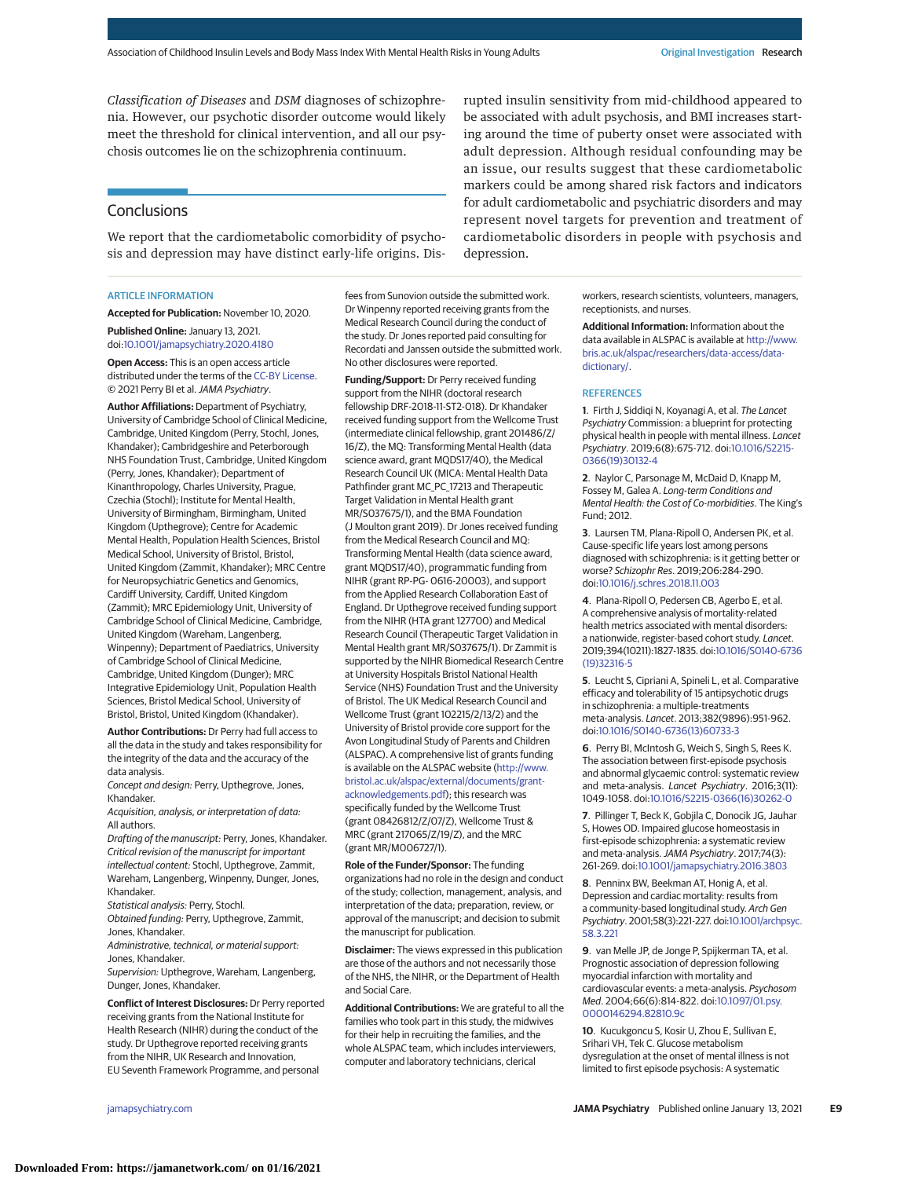*Classification of Diseases* and *DSM* diagnoses of schizophrenia. However, our psychotic disorder outcome would likely meet the threshold for clinical intervention, and all our psychosis outcomes lie on the schizophrenia continuum.

# **Conclusions**

We report that the cardiometabolic comorbidity of psychosis and depression may have distinct early-life origins. Dis-

#### ARTICLE INFORMATION

**Accepted for Publication:** November 10, 2020.

**Published Online:** January 13, 2021. doi[:10.1001/jamapsychiatry.2020.4180](https://jamanetwork.com/journals/jama/fullarticle/10.1001/jamapsychiatry.2020.4180?utm_campaign=articlePDF%26utm_medium=articlePDFlink%26utm_source=articlePDF%26utm_content=jamapsychiatry.2020.4180)

**Open Access:** This is an open access article distributed under the terms of the [CC-BY License.](https://jamanetwork.com/pages/cc-by-license-permissions?utm_campaign=articlePDF%26utm_medium=articlePDFlink%26utm_source=articlePDF%26utm_content=jamapsychiatry.2020.4180) © 2021 Perry BI et al.JAMA Psychiatry.

**Author Affiliations:** Department of Psychiatry, University of Cambridge School of Clinical Medicine, Cambridge, United Kingdom (Perry, Stochl, Jones, Khandaker); Cambridgeshire and Peterborough NHS Foundation Trust, Cambridge, United Kingdom (Perry, Jones, Khandaker); Department of Kinanthropology, Charles University, Prague, Czechia (Stochl); Institute for Mental Health, University of Birmingham, Birmingham, United Kingdom (Upthegrove); Centre for Academic Mental Health, Population Health Sciences, Bristol Medical School, University of Bristol, Bristol, United Kingdom (Zammit, Khandaker); MRC Centre for Neuropsychiatric Genetics and Genomics, Cardiff University, Cardiff, United Kingdom (Zammit); MRC Epidemiology Unit, University of Cambridge School of Clinical Medicine, Cambridge, United Kingdom (Wareham, Langenberg, Winpenny); Department of Paediatrics, University of Cambridge School of Clinical Medicine, Cambridge, United Kingdom (Dunger); MRC Integrative Epidemiology Unit, Population Health Sciences, Bristol Medical School, University of Bristol, Bristol, United Kingdom (Khandaker).

**Author Contributions:** Dr Perry had full access to all the data in the study and takes responsibility for the integrity of the data and the accuracy of the data analysis.

Concept and design: Perry, Upthegrove, Jones, Khandaker.

Acquisition, analysis, or interpretation of data: All authors.

Drafting of the manuscript: Perry, Jones, Khandaker. Critical revision of the manuscript for important intellectual content: Stochl, Upthegrove, Zammit, Wareham, Langenberg, Winpenny, Dunger, Jones, Khandaker.

Statistical analysis: Perry, Stochl.

Obtained funding: Perry, Upthegrove, Zammit, Jones, Khandaker.

Administrative, technical, or material support: Jones, Khandaker.

Supervision: Upthegrove, Wareham, Langenberg, Dunger, Jones, Khandaker.

**Conflict of Interest Disclosures:** Dr Perry reported receiving grants from the National Institute for Health Research (NIHR) during the conduct of the study. Dr Upthegrove reported receiving grants from the NIHR, UK Research and Innovation, EU Seventh Framework Programme, and personal

fees from Sunovion outside the submitted work. Dr Winpenny reported receiving grants from the Medical Research Council during the conduct of the study. Dr Jones reported paid consulting for Recordati and Janssen outside the submitted work. No other disclosures were reported.

**Funding/Support:** Dr Perry received funding support from the NIHR (doctoral research fellowship DRF-2018-11-ST2-018). Dr Khandaker received funding support from the Wellcome Trust (intermediate clinical fellowship, grant 201486/Z/ 16/Z), the MQ: Transforming Mental Health (data science award, grant MQDS17/40), the Medical Research Council UK (MICA: Mental Health Data Pathfinder grant MC\_PC\_17213 and Therapeutic Target Validation in Mental Health grant MR/S037675/1), and the BMA Foundation (J Moulton grant 2019). Dr Jones received funding from the Medical Research Council and MQ: Transforming Mental Health (data science award, grant MQDS17/40), programmatic funding from NIHR (grant RP-PG- 0616-20003), and support from the Applied Research Collaboration East of England. Dr Upthegrove received funding support from the NIHR (HTA grant 127700) and Medical Research Council (Therapeutic Target Validation in Mental Health grant MR/S037675/1). Dr Zammit is supported by the NIHR Biomedical Research Centre at University Hospitals Bristol National Health Service (NHS) Foundation Trust and the University of Bristol. The UK Medical Research Council and Wellcome Trust (grant 102215/2/13/2) and the University of Bristol provide core support for the Avon Longitudinal Study of Parents and Children (ALSPAC). A comprehensive list of grants funding is available on the ALSPAC website [\(http://www.](http://www.bristol.ac.uk/alspac/external/documents/grant-acknowledgements.pdf) [bristol.ac.uk/alspac/external/documents/grant](http://www.bristol.ac.uk/alspac/external/documents/grant-acknowledgements.pdf)[acknowledgements.pdf\)](http://www.bristol.ac.uk/alspac/external/documents/grant-acknowledgements.pdf); this research was specifically funded by the Wellcome Trust (grant 08426812/Z/07/Z), Wellcome Trust & MRC (grant 217065/Z/19/Z), and the MRC (grant MR/M006727/1).

**Role of the Funder/Sponsor:** The funding organizations had no role in the design and conduct of the study; collection, management, analysis, and interpretation of the data; preparation, review, or approval of the manuscript; and decision to submit the manuscript for publication.

**Disclaimer:** The views expressed in this publication are those of the authors and not necessarily those of the NHS, the NIHR, or the Department of Health and Social Care.

**Additional Contributions:** We are grateful to all the families who took part in this study, the midwives for their help in recruiting the families, and the whole ALSPAC team, which includes interviewers, computer and laboratory technicians, clerical

rupted insulin sensitivity from mid-childhood appeared to be associated with adult psychosis, and BMI increases starting around the time of puberty onset were associated with adult depression. Although residual confounding may be an issue, our results suggest that these cardiometabolic markers could be among shared risk factors and indicators for adult cardiometabolic and psychiatric disorders and may represent novel targets for prevention and treatment of cardiometabolic disorders in people with psychosis and depression.

> workers, research scientists, volunteers, managers, receptionists, and nurses.

> **Additional Information:** Information about the data available in ALSPAC is available at [http://www.](http://www.bris.ac.uk/alspac/researchers/data-access/data-dictionary/) [bris.ac.uk/alspac/researchers/data-access/data](http://www.bris.ac.uk/alspac/researchers/data-access/data-dictionary/)[dictionary/.](http://www.bris.ac.uk/alspac/researchers/data-access/data-dictionary/)

### **REFERENCES**

**1**. Firth J, Siddiqi N, Koyanagi A, et al. The Lancet Psychiatry Commission: a blueprint for protecting physical health in people with mental illness. Lancet Psychiatry. 2019;6(8):675-712. doi[:10.1016/S2215-](https://dx.doi.org/10.1016/S2215-0366(19)30132-4) [0366\(19\)30132-4](https://dx.doi.org/10.1016/S2215-0366(19)30132-4)

**2**. Naylor C, Parsonage M, McDaid D, Knapp M, Fossey M, Galea A. Long-term Conditions and Mental Health: the Cost of Co-morbidities. The King's Fund; 2012.

**3**. Laursen TM, Plana-Ripoll O, Andersen PK, et al. Cause-specific life years lost among persons diagnosed with schizophrenia: is it getting better or worse? Schizophr Res. 2019;206:284-290. doi[:10.1016/j.schres.2018.11.003](https://dx.doi.org/10.1016/j.schres.2018.11.003)

**4**. Plana-Ripoll O, Pedersen CB, Agerbo E, et al. A comprehensive analysis of mortality-related health metrics associated with mental disorders: a nationwide, register-based cohort study. Lancet. 2019;394(10211):1827-1835. doi[:10.1016/S0140-6736](https://dx.doi.org/10.1016/S0140-6736(19)32316-5) [\(19\)32316-5](https://dx.doi.org/10.1016/S0140-6736(19)32316-5)

**5**. Leucht S, Cipriani A, Spineli L, et al. Comparative efficacy and tolerability of 15 antipsychotic drugs in schizophrenia: a multiple-treatments meta-analysis. Lancet. 2013;382(9896):951-962. doi[:10.1016/S0140-6736\(13\)60733-3](https://dx.doi.org/10.1016/S0140-6736(13)60733-3)

**6**. Perry BI, McIntosh G, Weich S, Singh S, Rees K. The association between first-episode psychosis and abnormal glycaemic control: systematic review and meta-analysis. Lancet Psychiatry. 2016;3(11): 1049-1058. doi[:10.1016/S2215-0366\(16\)30262-0](https://dx.doi.org/10.1016/S2215-0366(16)30262-0)

**7**. Pillinger T, Beck K, Gobjila C, Donocik JG, Jauhar S, Howes OD. Impaired glucose homeostasis in first-episode schizophrenia: a systematic review and meta-analysis.JAMA Psychiatry. 2017;74(3): 261-269. doi[:10.1001/jamapsychiatry.2016.3803](https://jamanetwork.com/journals/jama/fullarticle/10.1001/jamapsychiatry.2016.3803?utm_campaign=articlePDF%26utm_medium=articlePDFlink%26utm_source=articlePDF%26utm_content=jamapsychiatry.2020.4180)

**8**. Penninx BW, Beekman AT, Honig A, et al. Depression and cardiac mortality: results from a community-based longitudinal study. Arch Gen Psychiatry. 2001;58(3):221-227. doi[:10.1001/archpsyc.](https://jamanetwork.com/journals/jama/fullarticle/10.1001/archpsyc.58.3.221?utm_campaign=articlePDF%26utm_medium=articlePDFlink%26utm_source=articlePDF%26utm_content=jamapsychiatry.2020.4180) [58.3.221](https://jamanetwork.com/journals/jama/fullarticle/10.1001/archpsyc.58.3.221?utm_campaign=articlePDF%26utm_medium=articlePDFlink%26utm_source=articlePDF%26utm_content=jamapsychiatry.2020.4180)

**9**. van Melle JP, de Jonge P, Spijkerman TA, et al. Prognostic association of depression following myocardial infarction with mortality and cardiovascular events: a meta-analysis. Psychosom Med. 2004;66(6):814-822. doi[:10.1097/01.psy.](https://dx.doi.org/10.1097/01.psy.0000146294.82810.9c) [0000146294.82810.9c](https://dx.doi.org/10.1097/01.psy.0000146294.82810.9c)

**10**. Kucukgoncu S, Kosir U, Zhou E, Sullivan E, Srihari VH, Tek C. Glucose metabolism dysregulation at the onset of mental illness is not limited to first episode psychosis: A systematic